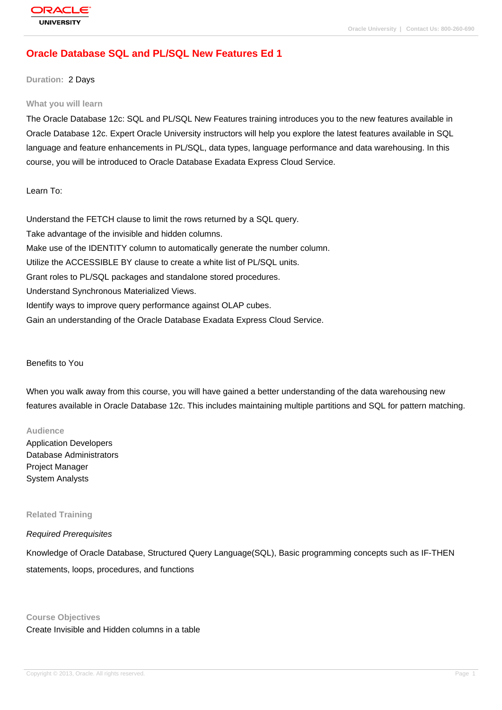# **[Oracle Databas](http://education.oracle.com/pls/web_prod-plq-dad/db_pages.getpage?page_id=3)e SQL and PL/SQL New Features Ed 1**

**Duration:** 2 Days

#### **What you will learn**

The Oracle Database 12c: SQL and PL/SQL New Features training introduces you to the new features available in Oracle Database 12c. Expert Oracle University instructors will help you explore the latest features available in SQL language and feature enhancements in PL/SQL, data types, language performance and data warehousing. In this course, you will be introduced to Oracle Database Exadata Express Cloud Service.

Learn To:

Understand the FETCH clause to limit the rows returned by a SQL query. Take advantage of the invisible and hidden columns. Make use of the IDENTITY column to automatically generate the number column. Utilize the ACCESSIBLE BY clause to create a white list of PL/SQL units. Grant roles to PL/SQL packages and standalone stored procedures. Understand Synchronous Materialized Views. Identify ways to improve query performance against OLAP cubes. Gain an understanding of the Oracle Database Exadata Express Cloud Service.

#### Benefits to You

When you walk away from this course, you will have gained a better understanding of the data warehousing new features available in Oracle Database 12c. This includes maintaining multiple partitions and SQL for pattern matching.

#### **Audience**

Application Developers Database Administrators Project Manager System Analysts

#### **Related Training**

### Required Prerequisites

Knowledge of Oracle Database, Structured Query Language(SQL), Basic programming concepts such as IF-THEN statements, loops, procedures, and functions

#### **Course Objectives**

Create Invisible and Hidden columns in a table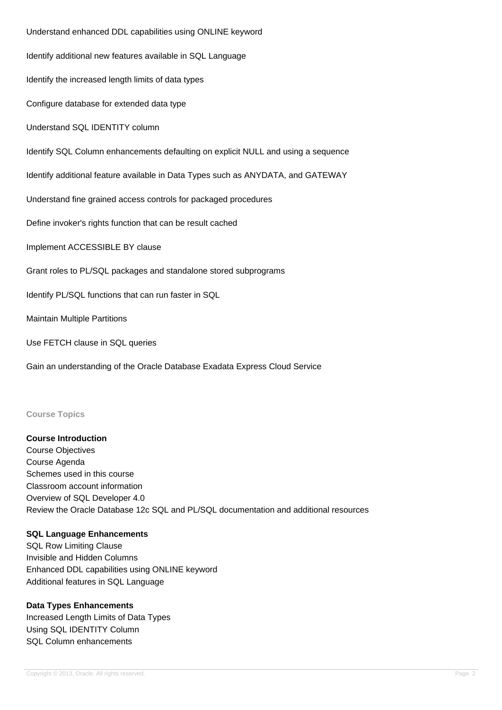Understand enhanced DDL capabilities using ONLINE keyword Identify additional new features available in SQL Language Identify the increased length limits of data types Configure database for extended data type Understand SQL IDENTITY column Identify SQL Column enhancements defaulting on explicit NULL and using a sequence Identify additional feature available in Data Types such as ANYDATA, and GATEWAY Understand fine grained access controls for packaged procedures Define invoker's rights function that can be result cached Implement ACCESSIBLE BY clause Grant roles to PL/SQL packages and standalone stored subprograms Identify PL/SQL functions that can run faster in SQL Maintain Multiple Partitions Use FETCH clause in SQL queries Gain an understanding of the Oracle Database Exadata Express Cloud Service

### **Course Topics**

### **Course Introduction**

Course Objectives Course Agenda Schemes used in this course Classroom account information Overview of SQL Developer 4.0 Review the Oracle Database 12c SQL and PL/SQL documentation and additional resources

#### **SQL Language Enhancements**

SQL Row Limiting Clause Invisible and Hidden Columns Enhanced DDL capabilities using ONLINE keyword Additional features in SQL Language

## **Data Types Enhancements**

Increased Length Limits of Data Types Using SQL IDENTITY Column SQL Column enhancements